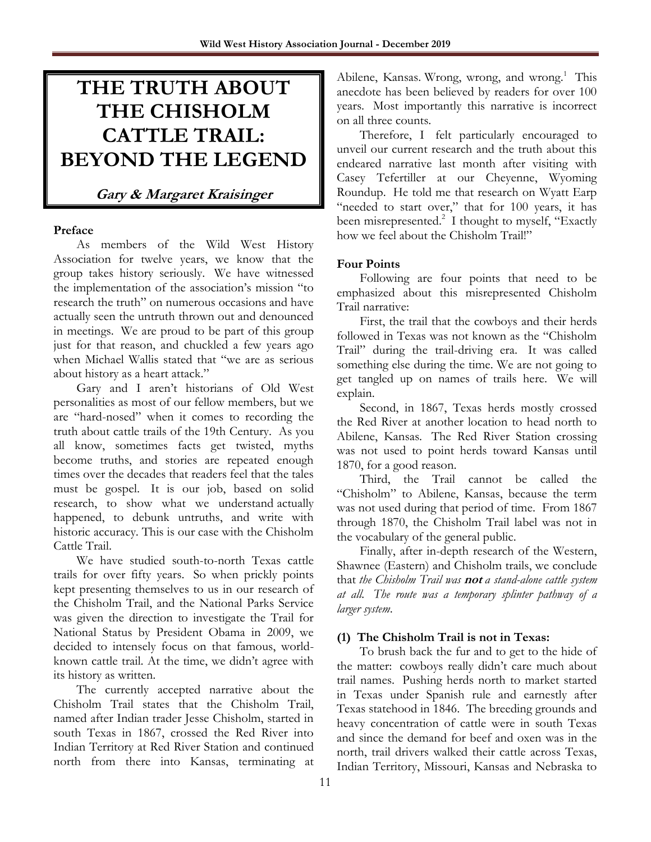# **THE TRUTH ABOUT THE CHISHOLM CATTLE TRAIL: BEYOND THE LEGEND**

# **Gary & Margaret Kraisinger**

#### **Preface**

As members of the Wild West History Association for twelve years, we know that the group takes history seriously. We have witnessed the implementation of the association's mission "to research the truth" on numerous occasions and have actually seen the untruth thrown out and denounced in meetings. We are proud to be part of this group just for that reason, and chuckled a few years ago when Michael Wallis stated that "we are as serious about history as a heart attack."

Gary and I aren't historians of Old West personalities as most of our fellow members, but we are "hard-nosed" when it comes to recording the truth about cattle trails of the 19th Century. As you all know, sometimes facts get twisted, myths become truths, and stories are repeated enough times over the decades that readers feel that the tales must be gospel. It is our job, based on solid research, to show what we understand actually happened, to debunk untruths, and write with historic accuracy. This is our case with the Chisholm Cattle Trail.

We have studied south-to-north Texas cattle trails for over fifty years. So when prickly points kept presenting themselves to us in our research of the Chisholm Trail, and the National Parks Service was given the direction to investigate the Trail for National Status by President Obama in 2009, we decided to intensely focus on that famous, worldknown cattle trail. At the time, we didn't agree with its history as written.

The currently accepted narrative about the Chisholm Trail states that the Chisholm Trail, named after Indian trader Jesse Chisholm, started in south Texas in 1867, crossed the Red River into Indian Territory at Red River Station and continued north from there into Kansas, terminating at

Abilene, Kansas. Wrong, wrong, and wrong.<sup>1</sup> This anecdote has been believed by readers for over 100 years. Most importantly this narrative is incorrect on all three counts.

Therefore, I felt particularly encouraged to unveil our current research and the truth about this endeared narrative last month after visiting with Casey Tefertiller at our Cheyenne, Wyoming Roundup. He told me that research on Wyatt Earp "needed to start over," that for 100 years, it has been misrepresented.<sup>2</sup> I thought to myself, "Exactly how we feel about the Chisholm Trail!"

## **Four Points**

Following are four points that need to be emphasized about this misrepresented Chisholm Trail narrative:

First, the trail that the cowboys and their herds followed in Texas was not known as the "Chisholm Trail" during the trail-driving era. It was called something else during the time. We are not going to get tangled up on names of trails here. We will explain.

Second, in 1867, Texas herds mostly crossed the Red River at another location to head north to Abilene, Kansas. The Red River Station crossing was not used to point herds toward Kansas until 1870, for a good reason.

Third, the Trail cannot be called the "Chisholm" to Abilene, Kansas, because the term was not used during that period of time. From 1867 through 1870, the Chisholm Trail label was not in the vocabulary of the general public.

Finally, after in-depth research of the Western, Shawnee (Eastern) and Chisholm trails, we conclude that *the Chisholm Trail was* **not** *a stand-alone cattle system at all. The route was a temporary splinter pathway of a larger system*.

## **(1) The Chisholm Trail is not in Texas:**

To brush back the fur and to get to the hide of the matter: cowboys really didn't care much about trail names. Pushing herds north to market started in Texas under Spanish rule and earnestly after Texas statehood in 1846. The breeding grounds and heavy concentration of cattle were in south Texas and since the demand for beef and oxen was in the north, trail drivers walked their cattle across Texas, Indian Territory, Missouri, Kansas and Nebraska to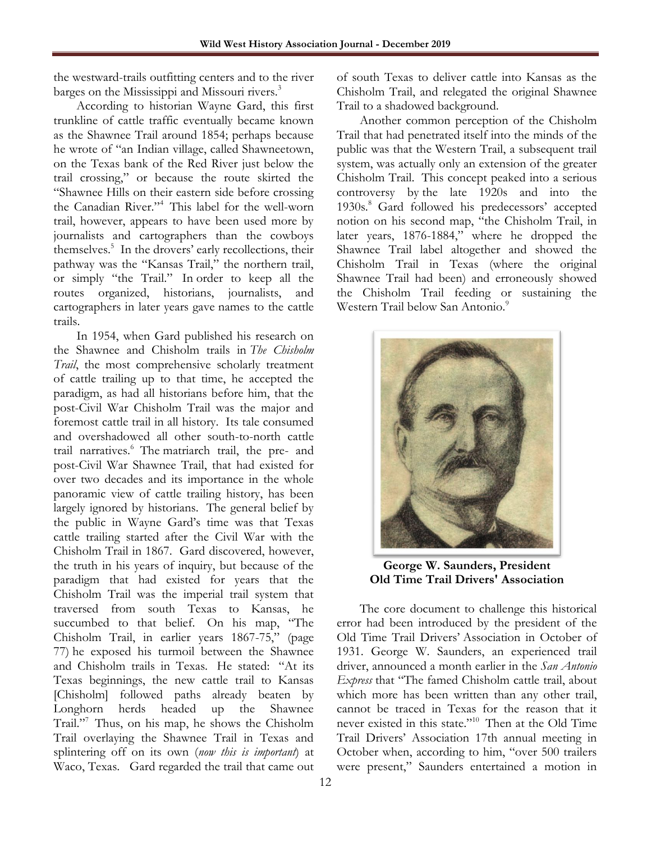the westward-trails outfitting centers and to the river barges on the Mississippi and Missouri rivers.<sup>3</sup>

According to historian Wayne Gard, this first trunkline of cattle traffic eventually became known as the Shawnee Trail around 1854; perhaps because he wrote of "an Indian village, called Shawneetown, on the Texas bank of the Red River just below the trail crossing," or because the route skirted the "Shawnee Hills on their eastern side before crossing the Canadian River."<sup>4</sup> This label for the well-worn trail, however, appears to have been used more by journalists and cartographers than the cowboys themselves.<sup>5</sup> In the drovers' early recollections, their pathway was the "Kansas Trail," the northern trail, or simply "the Trail." In order to keep all the routes organized, historians, journalists, and cartographers in later years gave names to the cattle trails.

In 1954, when Gard published his research on the Shawnee and Chisholm trails in *The Chisholm Trail*, the most comprehensive scholarly treatment of cattle trailing up to that time, he accepted the paradigm, as had all historians before him, that the post-Civil War Chisholm Trail was the major and foremost cattle trail in all history. Its tale consumed and overshadowed all other south-to-north cattle trail narratives.<sup>6</sup> The matriarch trail, the pre- and post-Civil War Shawnee Trail, that had existed for over two decades and its importance in the whole panoramic view of cattle trailing history, has been largely ignored by historians. The general belief by the public in Wayne Gard's time was that Texas cattle trailing started after the Civil War with the Chisholm Trail in 1867. Gard discovered, however, the truth in his years of inquiry, but because of the paradigm that had existed for years that the Chisholm Trail was the imperial trail system that traversed from south Texas to Kansas, he succumbed to that belief. On his map, "The Chisholm Trail, in earlier years 1867-75," (page 77) he exposed his turmoil between the Shawnee and Chisholm trails in Texas. He stated: "At its Texas beginnings, the new cattle trail to Kansas [Chisholm] followed paths already beaten by Longhorn herds headed up the Shawnee Trail."<sup>7</sup> Thus, on his map, he shows the Chisholm Trail overlaying the Shawnee Trail in Texas and splintering off on its own (*now this is important*) at Waco, Texas. Gard regarded the trail that came out

of south Texas to deliver cattle into Kansas as the Chisholm Trail, and relegated the original Shawnee Trail to a shadowed background.

Another common perception of the Chisholm Trail that had penetrated itself into the minds of the public was that the Western Trail, a subsequent trail system, was actually only an extension of the greater Chisholm Trail. This concept peaked into a serious controversy by the late 1920s and into the 1930s.<sup>8</sup> Gard followed his predecessors' accepted notion on his second map, "the Chisholm Trail, in later years, 1876-1884," where he dropped the Shawnee Trail label altogether and showed the Chisholm Trail in Texas (where the original Shawnee Trail had been) and erroneously showed the Chisholm Trail feeding or sustaining the Western Trail below San Antonio.<sup>9</sup>



**George W. Saunders, President Old Time Trail Drivers' Association**

The core document to challenge this historical error had been introduced by the president of the Old Time Trail Drivers' Association in October of 1931. George W. Saunders, an experienced trail driver, announced a month earlier in the *San Antonio Express* that "The famed Chisholm cattle trail, about which more has been written than any other trail, cannot be traced in Texas for the reason that it never existed in this state."<sup>10</sup> Then at the Old Time Trail Drivers' Association 17th annual meeting in October when, according to him, "over 500 trailers were present," Saunders entertained a motion in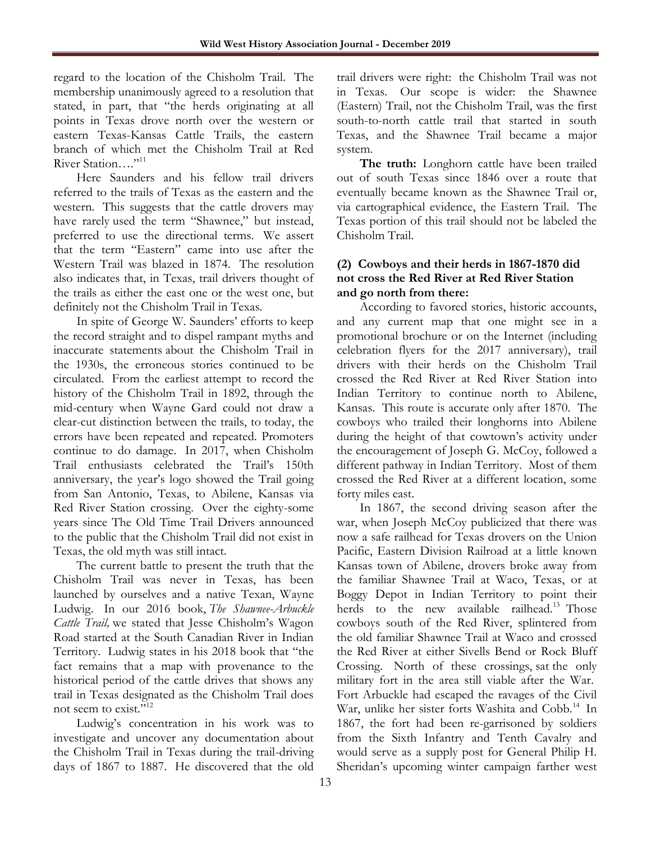regard to the location of the Chisholm Trail. The membership unanimously agreed to a resolution that stated, in part, that "the herds originating at all points in Texas drove north over the western or eastern Texas-Kansas Cattle Trails, the eastern branch of which met the Chisholm Trail at Red River Station...."<sup>11</sup>

Here Saunders and his fellow trail drivers referred to the trails of Texas as the eastern and the western. This suggests that the cattle drovers may have rarely used the term "Shawnee," but instead, preferred to use the directional terms. We assert that the term "Eastern" came into use after the Western Trail was blazed in 1874. The resolution also indicates that, in Texas, trail drivers thought of the trails as either the east one or the west one, but definitely not the Chisholm Trail in Texas.

In spite of George W. Saunders' efforts to keep the record straight and to dispel rampant myths and inaccurate statements about the Chisholm Trail in the 1930s, the erroneous stories continued to be circulated. From the earliest attempt to record the history of the Chisholm Trail in 1892, through the mid-century when Wayne Gard could not draw a clear-cut distinction between the trails, to today, the errors have been repeated and repeated. Promoters continue to do damage. In 2017, when Chisholm Trail enthusiasts celebrated the Trail's 150th anniversary, the year's logo showed the Trail going from San Antonio, Texas, to Abilene, Kansas via Red River Station crossing. Over the eighty-some years since The Old Time Trail Drivers announced to the public that the Chisholm Trail did not exist in Texas, the old myth was still intact.

The current battle to present the truth that the Chisholm Trail was never in Texas, has been launched by ourselves and a native Texan, Wayne Ludwig. In our 2016 book, *The Shawnee-Arbuckle Cattle Trail,* we stated that Jesse Chisholm's Wagon Road started at the South Canadian River in Indian Territory. Ludwig states in his 2018 book that "the fact remains that a map with provenance to the historical period of the cattle drives that shows any trail in Texas designated as the Chisholm Trail does not seem to exist."<sup>12</sup>

Ludwig's concentration in his work was to investigate and uncover any documentation about the Chisholm Trail in Texas during the trail-driving days of 1867 to 1887. He discovered that the old

trail drivers were right: the Chisholm Trail was not in Texas. Our scope is wider: the Shawnee (Eastern) Trail, not the Chisholm Trail, was the first south-to-north cattle trail that started in south Texas, and the Shawnee Trail became a major system.

**The truth:** Longhorn cattle have been trailed out of south Texas since 1846 over a route that eventually became known as the Shawnee Trail or, via cartographical evidence, the Eastern Trail. The Texas portion of this trail should not be labeled the Chisholm Trail.

## **(2) Cowboys and their herds in 1867-1870 did not cross the Red River at Red River Station and go north from there:**

According to favored stories, historic accounts, and any current map that one might see in a promotional brochure or on the Internet (including celebration flyers for the 2017 anniversary), trail drivers with their herds on the Chisholm Trail crossed the Red River at Red River Station into Indian Territory to continue north to Abilene, Kansas. This route is accurate only after 1870. The cowboys who trailed their longhorns into Abilene during the height of that cowtown's activity under the encouragement of Joseph G. McCoy, followed a different pathway in Indian Territory. Most of them crossed the Red River at a different location, some forty miles east.

In 1867, the second driving season after the war, when Joseph McCoy publicized that there was now a safe railhead for Texas drovers on the Union Pacific, Eastern Division Railroad at a little known Kansas town of Abilene, drovers broke away from the familiar Shawnee Trail at Waco, Texas, or at Boggy Depot in Indian Territory to point their herds to the new available railhead.<sup>13</sup> Those cowboys south of the Red River, splintered from the old familiar Shawnee Trail at Waco and crossed the Red River at either Sivells Bend or Rock Bluff Crossing. North of these crossings, sat the only military fort in the area still viable after the War. Fort Arbuckle had escaped the ravages of the Civil War, unlike her sister forts Washita and Cobb.<sup>14</sup> In 1867, the fort had been re-garrisoned by soldiers from the Sixth Infantry and Tenth Cavalry and would serve as a supply post for General Philip H. Sheridan's upcoming winter campaign farther west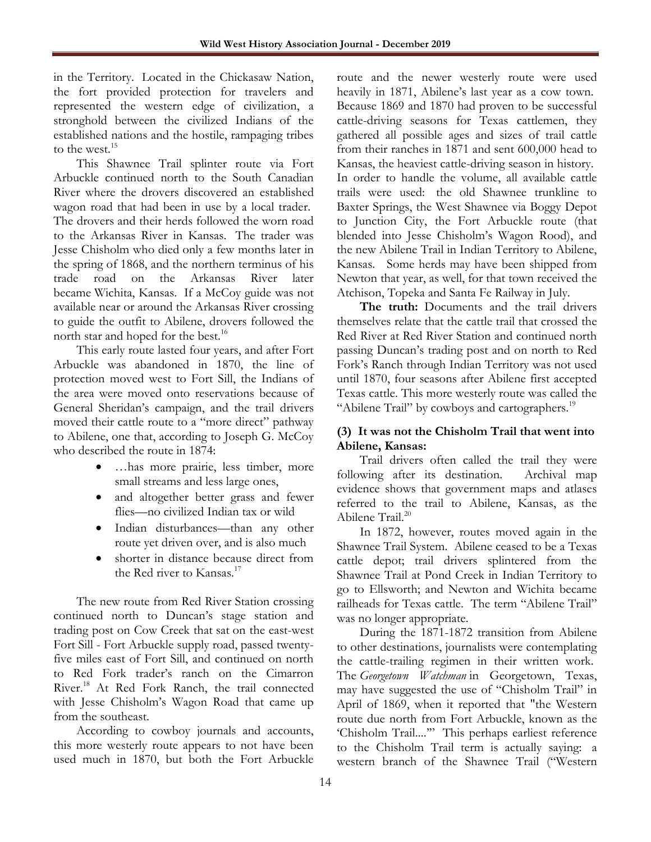in the Territory. Located in the Chickasaw Nation, the fort provided protection for travelers and represented the western edge of civilization, a stronghold between the civilized Indians of the established nations and the hostile, rampaging tribes to the west.<sup>15</sup>

This Shawnee Trail splinter route via Fort Arbuckle continued north to the South Canadian River where the drovers discovered an established wagon road that had been in use by a local trader. The drovers and their herds followed the worn road to the Arkansas River in Kansas. The trader was Jesse Chisholm who died only a few months later in the spring of 1868, and the northern terminus of his trade road on the Arkansas River later became Wichita, Kansas. If a McCoy guide was not available near or around the Arkansas River crossing to guide the outfit to Abilene, drovers followed the north star and hoped for the best.<sup>16</sup>

This early route lasted four years, and after Fort Arbuckle was abandoned in 1870, the line of protection moved west to Fort Sill, the Indians of the area were moved onto reservations because of General Sheridan's campaign, and the trail drivers moved their cattle route to a "more direct" pathway to Abilene, one that, according to Joseph G. McCoy who described the route in 1874:

- …has more prairie, less timber, more small streams and less large ones,
- and altogether better grass and fewer flies—no civilized Indian tax or wild
- Indian disturbances—than any other route yet driven over, and is also much
- shorter in distance because direct from the Red river to Kansas.<sup>17</sup>

The new route from Red River Station crossing continued north to Duncan's stage station and trading post on Cow Creek that sat on the east-west Fort Sill - Fort Arbuckle supply road, passed twentyfive miles east of Fort Sill, and continued on north to Red Fork trader's ranch on the Cimarron River.<sup>18</sup> At Red Fork Ranch, the trail connected with Jesse Chisholm's Wagon Road that came up from the southeast.

According to cowboy journals and accounts, this more westerly route appears to not have been used much in 1870, but both the Fort Arbuckle

route and the newer westerly route were used heavily in 1871, Abilene's last year as a cow town. Because 1869 and 1870 had proven to be successful cattle-driving seasons for Texas cattlemen, they gathered all possible ages and sizes of trail cattle from their ranches in 1871 and sent 600,000 head to Kansas, the heaviest cattle-driving season in history. In order to handle the volume, all available cattle trails were used: the old Shawnee trunkline to Baxter Springs, the West Shawnee via Boggy Depot to Junction City, the Fort Arbuckle route (that blended into Jesse Chisholm's Wagon Rood), and the new Abilene Trail in Indian Territory to Abilene, Kansas. Some herds may have been shipped from Newton that year, as well, for that town received the Atchison, Topeka and Santa Fe Railway in July.

The truth: Documents and the trail drivers themselves relate that the cattle trail that crossed the Red River at Red River Station and continued north passing Duncan's trading post and on north to Red Fork's Ranch through Indian Territory was not used until 1870, four seasons after Abilene first accepted Texas cattle. This more westerly route was called the "Abilene Trail" by cowboys and cartographers.<sup>19</sup>

## **(3) It was not the Chisholm Trail that went into Abilene, Kansas:**

Trail drivers often called the trail they were following after its destination. Archival map evidence shows that government maps and atlases referred to the trail to Abilene, Kansas, as the Abilene Trail.<sup>20</sup>

In 1872, however, routes moved again in the Shawnee Trail System. Abilene ceased to be a Texas cattle depot; trail drivers splintered from the Shawnee Trail at Pond Creek in Indian Territory to go to Ellsworth; and Newton and Wichita became railheads for Texas cattle. The term "Abilene Trail" was no longer appropriate.

During the 1871-1872 transition from Abilene to other destinations, journalists were contemplating the cattle-trailing regimen in their written work. The *Georgetown Watchman* in Georgetown, Texas, may have suggested the use of "Chisholm Trail" in April of 1869, when it reported that "the Western route due north from Fort Arbuckle, known as the 'Chisholm Trail....'" This perhaps earliest reference to the Chisholm Trail term is actually saying: a western branch of the Shawnee Trail ("Western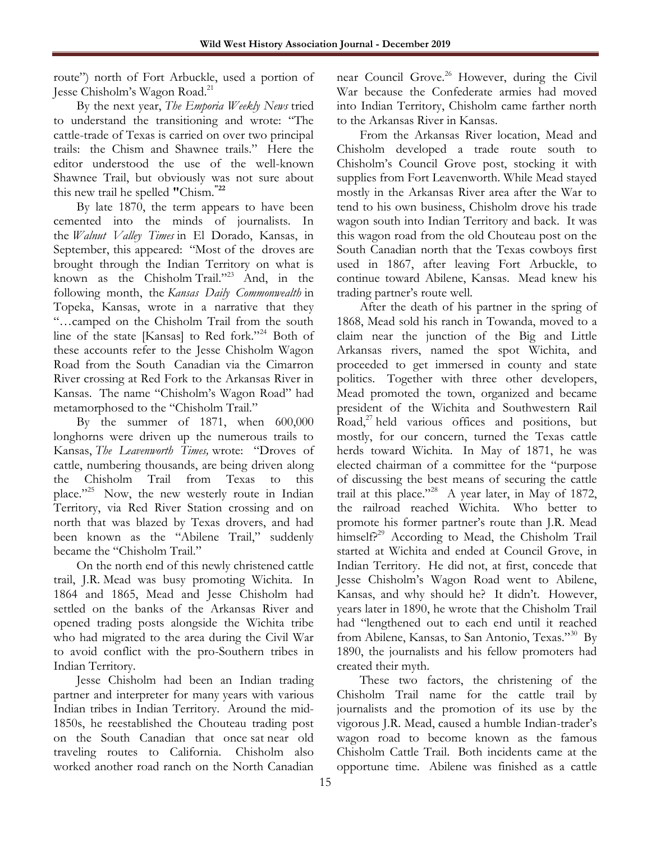route") north of Fort Arbuckle, used a portion of Jesse Chisholm's Wagon Road.<sup>21</sup>

By the next year, *The Emporia Weekly News* tried to understand the transitioning and wrote: "The cattle-trade of Texas is carried on over two principal trails: the Chism and Shawnee trails." Here the editor understood the use of the well-known Shawnee Trail, but obviously was not sure about this new trail he spelled **"**Chism. **"22**

By late 1870, the term appears to have been cemented into the minds of journalists. In the *Walnut Valley Times* in El Dorado, Kansas, in September, this appeared: "Most of the droves are brought through the Indian Territory on what is known as the Chisholm Trail."<sup>23</sup> And, in the following month, the *Kansas Daily Commonwealth* in Topeka, Kansas, wrote in a narrative that they "…camped on the Chisholm Trail from the south line of the state [Kansas] to Red fork."<sup>24</sup> Both of these accounts refer to the Jesse Chisholm Wagon Road from the South Canadian via the Cimarron River crossing at Red Fork to the Arkansas River in Kansas. The name "Chisholm's Wagon Road" had metamorphosed to the "Chisholm Trail."

By the summer of 1871, when 600,000 longhorns were driven up the numerous trails to Kansas, *The Leavenworth Times,* wrote: "Droves of cattle, numbering thousands, are being driven along the Chisholm Trail from Texas to this place."<sup>25</sup> Now, the new westerly route in Indian Territory, via Red River Station crossing and on north that was blazed by Texas drovers, and had been known as the "Abilene Trail," suddenly became the "Chisholm Trail."

On the north end of this newly christened cattle trail, J.R. Mead was busy promoting Wichita. In 1864 and 1865, Mead and Jesse Chisholm had settled on the banks of the Arkansas River and opened trading posts alongside the Wichita tribe who had migrated to the area during the Civil War to avoid conflict with the pro-Southern tribes in Indian Territory.

Jesse Chisholm had been an Indian trading partner and interpreter for many years with various Indian tribes in Indian Territory. Around the mid-1850s, he reestablished the Chouteau trading post on the South Canadian that once sat near old traveling routes to California. Chisholm also worked another road ranch on the North Canadian

near Council Grove.<sup>26</sup> However, during the Civil War because the Confederate armies had moved into Indian Territory, Chisholm came farther north to the Arkansas River in Kansas.

From the Arkansas River location, Mead and Chisholm developed a trade route south to Chisholm's Council Grove post, stocking it with supplies from Fort Leavenworth. While Mead stayed mostly in the Arkansas River area after the War to tend to his own business, Chisholm drove his trade wagon south into Indian Territory and back. It was this wagon road from the old Chouteau post on the South Canadian north that the Texas cowboys first used in 1867, after leaving Fort Arbuckle, to continue toward Abilene, Kansas. Mead knew his trading partner's route well.

After the death of his partner in the spring of 1868, Mead sold his ranch in Towanda, moved to a claim near the junction of the Big and Little Arkansas rivers, named the spot Wichita, and proceeded to get immersed in county and state politics. Together with three other developers, Mead promoted the town, organized and became president of the Wichita and Southwestern Rail Road, $2^7$  held various offices and positions, but mostly, for our concern, turned the Texas cattle herds toward Wichita. In May of 1871, he was elected chairman of a committee for the "purpose of discussing the best means of securing the cattle trail at this place."<sup>28</sup> A year later, in May of 1872, the railroad reached Wichita. Who better to promote his former partner's route than J.R. Mead himself?<sup>29</sup> According to Mead, the Chisholm Trail started at Wichita and ended at Council Grove, in Indian Territory. He did not, at first, concede that Jesse Chisholm's Wagon Road went to Abilene, Kansas, and why should he? It didn't. However, years later in 1890, he wrote that the Chisholm Trail had "lengthened out to each end until it reached from Abilene, Kansas, to San Antonio, Texas."<sup>30</sup> By 1890, the journalists and his fellow promoters had created their myth.

These two factors, the christening of the Chisholm Trail name for the cattle trail by journalists and the promotion of its use by the vigorous J.R. Mead, caused a humble Indian-trader's wagon road to become known as the famous Chisholm Cattle Trail. Both incidents came at the opportune time. Abilene was finished as a cattle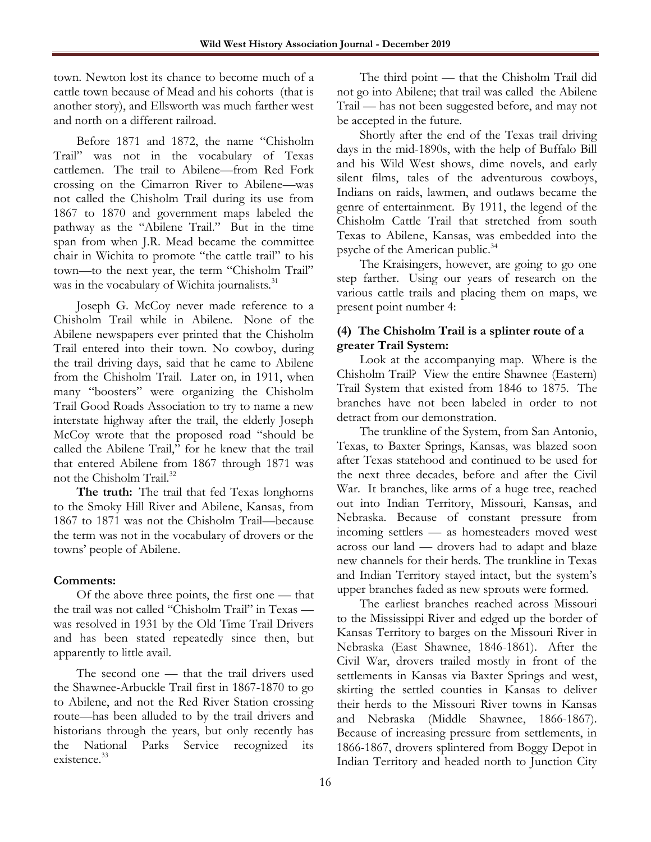town. Newton lost its chance to become much of a cattle town because of Mead and his cohorts (that is another story), and Ellsworth was much farther west and north on a different railroad.

Before 1871 and 1872, the name "Chisholm Trail" was not in the vocabulary of Texas cattlemen. The trail to Abilene—from Red Fork crossing on the Cimarron River to Abilene—was not called the Chisholm Trail during its use from 1867 to 1870 and government maps labeled the pathway as the "Abilene Trail." But in the time span from when J.R. Mead became the committee chair in Wichita to promote "the cattle trail" to his town—to the next year, the term "Chisholm Trail" was in the vocabulary of Wichita journalists.<sup>31</sup>

Joseph G. McCoy never made reference to a Chisholm Trail while in Abilene. None of the Abilene newspapers ever printed that the Chisholm Trail entered into their town. No cowboy, during the trail driving days, said that he came to Abilene from the Chisholm Trail. Later on, in 1911, when many "boosters" were organizing the Chisholm Trail Good Roads Association to try to name a new interstate highway after the trail, the elderly Joseph McCoy wrote that the proposed road "should be called the Abilene Trail," for he knew that the trail that entered Abilene from 1867 through 1871 was not the Chisholm Trail.<sup>32</sup>

**The truth:** The trail that fed Texas longhorns to the Smoky Hill River and Abilene, Kansas, from 1867 to 1871 was not the Chisholm Trail—because the term was not in the vocabulary of drovers or the towns' people of Abilene.

#### **Comments:**

Of the above three points, the first one — that the trail was not called "Chisholm Trail" in Texas was resolved in 1931 by the Old Time Trail Drivers and has been stated repeatedly since then, but apparently to little avail.

The second one — that the trail drivers used the Shawnee-Arbuckle Trail first in 1867-1870 to go to Abilene, and not the Red River Station crossing route—has been alluded to by the trail drivers and historians through the years, but only recently has the National Parks Service recognized its existence. 33

The third point — that the Chisholm Trail did not go into Abilene; that trail was called the Abilene Trail — has not been suggested before, and may not be accepted in the future.

Shortly after the end of the Texas trail driving days in the mid-1890s, with the help of Buffalo Bill and his Wild West shows, dime novels, and early silent films, tales of the adventurous cowboys, Indians on raids, lawmen, and outlaws became the genre of entertainment. By 1911, the legend of the Chisholm Cattle Trail that stretched from south Texas to Abilene, Kansas, was embedded into the psyche of the American public.<sup>34</sup>

The Kraisingers, however, are going to go one step farther. Using our years of research on the various cattle trails and placing them on maps, we present point number 4:

## **(4) The Chisholm Trail is a splinter route of a greater Trail System:**

Look at the accompanying map. Where is the Chisholm Trail? View the entire Shawnee (Eastern) Trail System that existed from 1846 to 1875. The branches have not been labeled in order to not detract from our demonstration.

The trunkline of the System, from San Antonio, Texas, to Baxter Springs, Kansas, was blazed soon after Texas statehood and continued to be used for the next three decades, before and after the Civil War. It branches, like arms of a huge tree, reached out into Indian Territory, Missouri, Kansas, and Nebraska. Because of constant pressure from incoming settlers — as homesteaders moved west across our land — drovers had to adapt and blaze new channels for their herds. The trunkline in Texas and Indian Territory stayed intact, but the system's upper branches faded as new sprouts were formed.

The earliest branches reached across Missouri to the Mississippi River and edged up the border of Kansas Territory to barges on the Missouri River in Nebraska (East Shawnee, 1846-1861). After the Civil War, drovers trailed mostly in front of the settlements in Kansas via Baxter Springs and west, skirting the settled counties in Kansas to deliver their herds to the Missouri River towns in Kansas and Nebraska (Middle Shawnee, 1866-1867). Because of increasing pressure from settlements, in 1866-1867, drovers splintered from Boggy Depot in Indian Territory and headed north to Junction City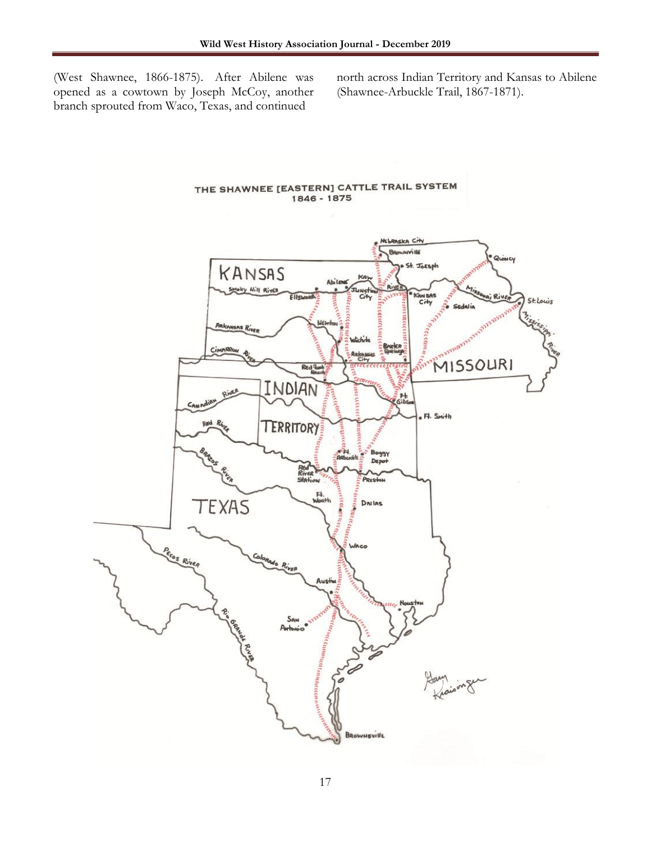(West Shawnee, 1866-1875). After Abilene was opened as a cowtown by Joseph McCoy, another branch sprouted from Waco, Texas, and continued

north across Indian Territory and Kansas to Abilene (Shawnee-Arbuckle Trail, 1867-1871).

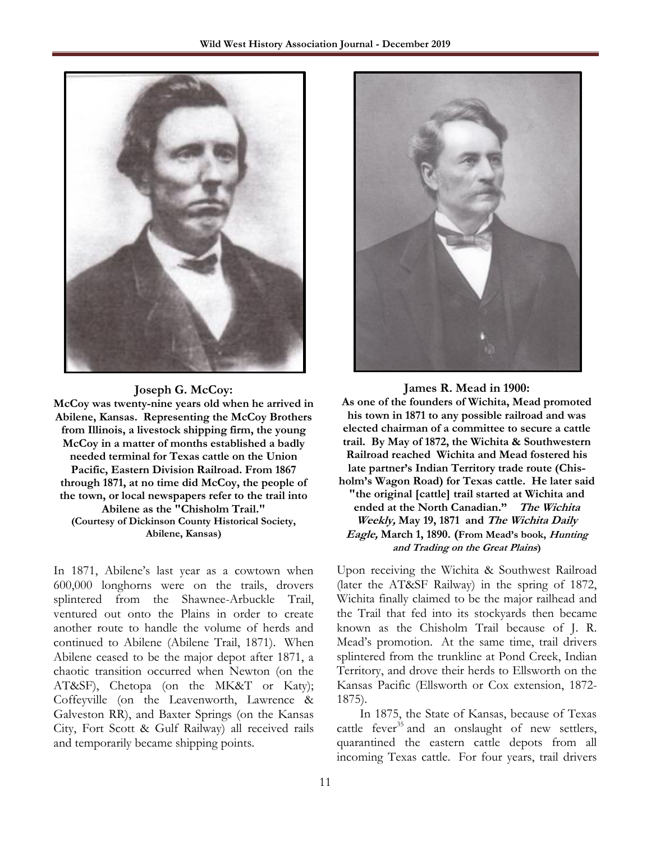

#### **Joseph G. McCoy:**

**McCoy was twenty-nine years old when he arrived in Abilene, Kansas. Representing the McCoy Brothers from Illinois, a livestock shipping firm, the young McCoy in a matter of months established a badly needed terminal for Texas cattle on the Union Pacific, Eastern Division Railroad. From 1867 through 1871, at no time did McCoy, the people of the town, or local newspapers refer to the trail into Abilene as the "Chisholm Trail." (Courtesy of Dickinson County Historical Society, Abilene, Kansas)**

In 1871, Abilene's last year as a cowtown when 600,000 longhorns were on the trails, drovers splintered from the Shawnee-Arbuckle Trail, ventured out onto the Plains in order to create another route to handle the volume of herds and continued to Abilene (Abilene Trail, 1871). When Abilene ceased to be the major depot after 1871, a chaotic transition occurred when Newton (on the AT&SF), Chetopa (on the MK&T or Katy); Coffeyville (on the Leavenworth, Lawrence & Galveston RR), and Baxter Springs (on the Kansas City, Fort Scott & Gulf Railway) all received rails and temporarily became shipping points.



#### **James R. Mead in 1900: As one of the founders of Wichita, Mead promoted his town in 1871 to any possible railroad and was elected chairman of a committee to secure a cattle trail. By May of 1872, the Wichita & Southwestern Railroad reached Wichita and Mead fostered his late partner's Indian Territory trade route (Chisholm's Wagon Road) for Texas cattle. He later said "the original [cattle] trail started at Wichita and ended at the North Canadian." The Wichita Weekly, May 19, 1871 and The Wichita Daily Eagle, March 1, 1890. (From Mead's book, Hunting and Trading on the Great Plains)**

Upon receiving the Wichita & Southwest Railroad (later the AT&SF Railway) in the spring of 1872, Wichita finally claimed to be the major railhead and the Trail that fed into its stockyards then became known as the Chisholm Trail because of J. R. Mead's promotion. At the same time, trail drivers splintered from the trunkline at Pond Creek, Indian Territory, and drove their herds to Ellsworth on the Kansas Pacific (Ellsworth or Cox extension, 1872- 1875).

In 1875, the State of Kansas, because of Texas cattle fever<sup>35</sup> and an onslaught of new settlers, quarantined the eastern cattle depots from all incoming Texas cattle. For four years, trail drivers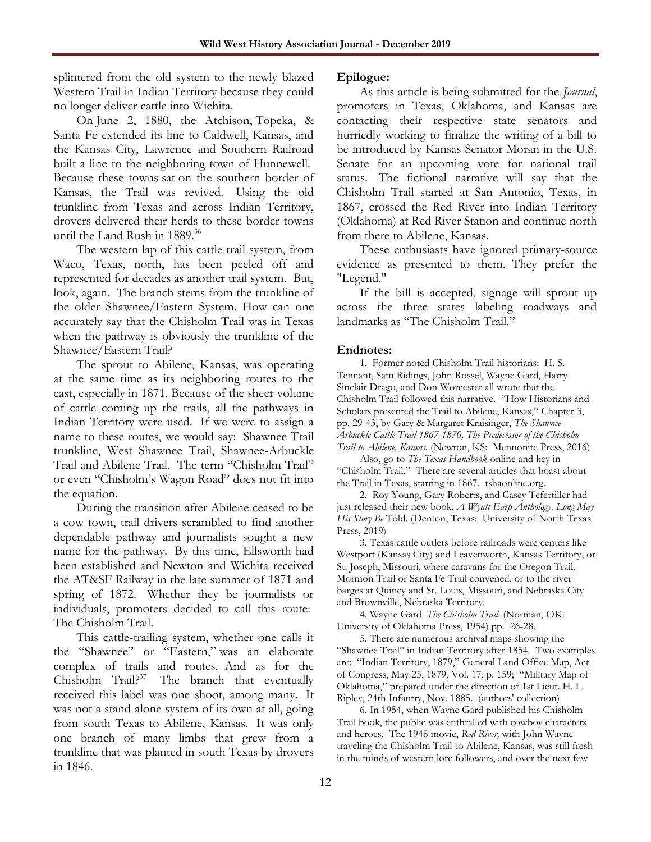splintered from the old system to the newly blazed Western Trail in Indian Territory because they could no longer deliver cattle into Wichita.

On June 2, 1880, the Atchison, Topeka, & Santa Fe extended its line to Caldwell, Kansas, and the Kansas City, Lawrence and Southern Railroad built a line to the neighboring town of Hunnewell. Because these towns sat on the southern border of Kansas, the Trail was revived. Using the old trunkline from Texas and across Indian Territory, drovers delivered their herds to these border towns until the Land Rush in 1889.<sup>36</sup>

The western lap of this cattle trail system, from Waco, Texas, north, has been peeled off and represented for decades as another trail system. But, look, again. The branch stems from the trunkline of the older Shawnee/Eastern System. How can one accurately say that the Chisholm Trail was in Texas when the pathway is obviously the trunkline of the Shawnee/Eastern Trail?

The sprout to Abilene, Kansas, was operating at the same time as its neighboring routes to the east, especially in 1871. Because of the sheer volume of cattle coming up the trails, all the pathways in Indian Territory were used. If we were to assign a name to these routes, we would say: Shawnee Trail trunkline, West Shawnee Trail, Shawnee-Arbuckle Trail and Abilene Trail. The term "Chisholm Trail" or even "Chisholm's Wagon Road" does not fit into the equation.

During the transition after Abilene ceased to be a cow town, trail drivers scrambled to find another dependable pathway and journalists sought a new name for the pathway. By this time, Ellsworth had been established and Newton and Wichita received the AT&SF Railway in the late summer of 1871 and spring of 1872. Whether they be journalists or individuals, promoters decided to call this route: The Chisholm Trail.

This cattle-trailing system, whether one calls it the "Shawnee" or "Eastern," was an elaborate complex of trails and routes. And as for the  $Chisholm$  Trail?<sup>37</sup> The branch that eventually received this label was one shoot, among many. It was not a stand-alone system of its own at all, going from south Texas to Abilene, Kansas. It was only one branch of many limbs that grew from a trunkline that was planted in south Texas by drovers in 1846.

#### **Epilogue:**

As this article is being submitted for the *Journal*, promoters in Texas, Oklahoma, and Kansas are contacting their respective state senators and hurriedly working to finalize the writing of a bill to be introduced by Kansas Senator Moran in the U.S. Senate for an upcoming vote for national trail status. The fictional narrative will say that the Chisholm Trail started at San Antonio, Texas, in 1867, crossed the Red River into Indian Territory (Oklahoma) at Red River Station and continue north from there to Abilene, Kansas.

These enthusiasts have ignored primary-source evidence as presented to them. They prefer the "Legend."

If the bill is accepted, signage will sprout up across the three states labeling roadways and landmarks as "The Chisholm Trail."

#### **Endnotes:**

1. Former noted Chisholm Trail historians: H. S. Tennant, Sam Ridings, John Rossel, Wayne Gard, Harry Sinclair Drago, and Don Worcester all wrote that the Chisholm Trail followed this narrative. "How Historians and Scholars presented the Trail to Abilene, Kansas," Chapter 3, pp. 29-43, by Gary & Margaret Kraisinger, *The Shawnee-Arbuckle Cattle Trail 1867-1870, The Predecessor of the Chisholm Trail to Abilene, Kansas.* (Newton, KS: Mennonite Press, 2016)

Also, go to *The Texas Handbook* online and key in "Chisholm Trail." There are several articles that boast about the Trail in Texas, starting in 1867. [tshaonline.org.](http://tshaonline.org/) 

2. Roy Young, Gary Roberts, and Casey Tefertiller had just released their new book, *A Wyatt Earp Anthology, Long May His Story Be* Told. (Denton, Texas: University of North Texas Press, 2019)

3. Texas cattle outlets before railroads were centers like Westport (Kansas City) and Leavenworth, Kansas Territory, or St. Joseph, Missouri, where caravans for the Oregon Trail, Mormon Trail or Santa Fe Trail convened, or to the river barges at Quincy and St. Louis, Missouri, and Nebraska City and Brownville, Nebraska Territory.

4. Wayne Gard. *The Chisholm Trail.* (Norman, OK: University of Oklahoma Press, 1954) pp. 26-28.

5. There are numerous archival maps showing the "Shawnee Trail" in Indian Territory after 1854. Two examples are: "Indian Territory, 1879," General Land Office Map, Act of Congress, May 25, 1879, Vol. 17, p. 159; "Military Map of Oklahoma," prepared under the direction of 1st Lieut. H. L. Ripley, 24th Infantry, Nov. 1885. (authors' collection)

6. In 1954, when Wayne Gard published his Chisholm Trail book, the public was enthralled with cowboy characters and heroes. The 1948 movie, *Red River,* with John Wayne traveling the Chisholm Trail to Abilene, Kansas, was still fresh in the minds of western lore followers, and over the next few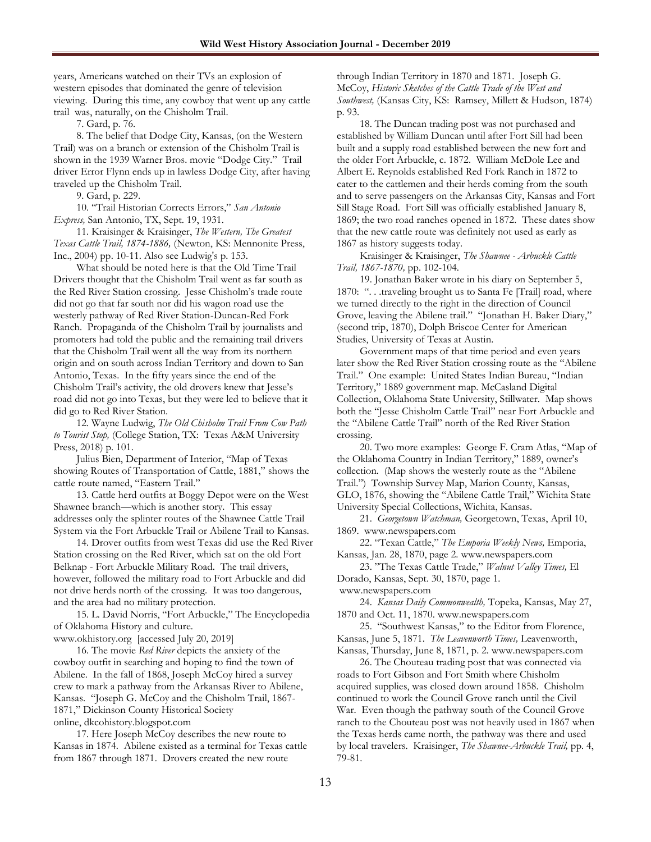years, Americans watched on their TVs an explosion of western episodes that dominated the genre of television viewing. During this time, any cowboy that went up any cattle trail was, naturally, on the Chisholm Trail.

7. Gard, p. 76.

8. The belief that Dodge City, Kansas, (on the Western Trail) was on a branch or extension of the Chisholm Trail is shown in the 1939 Warner Bros. movie "Dodge City." Trail driver Error Flynn ends up in lawless Dodge City, after having traveled up the Chisholm Trail.

9. Gard, p. 229.

10. "Trail Historian Corrects Errors," *San Antonio Express,* San Antonio, TX, Sept. 19, 1931.

11. Kraisinger & Kraisinger, *The Western, The Greatest Texas Cattle Trail, 1874-1886,* (Newton, KS: Mennonite Press, Inc., 2004) pp. 10-11. Also see Ludwig's p. 153.

What should be noted here is that the Old Time Trail Drivers thought that the Chisholm Trail went as far south as the Red River Station crossing. Jesse Chisholm's trade route did not go that far south nor did his wagon road use the westerly pathway of Red River Station-Duncan-Red Fork Ranch. Propaganda of the Chisholm Trail by journalists and promoters had told the public and the remaining trail drivers that the Chisholm Trail went all the way from its northern origin and on south across Indian Territory and down to San Antonio, Texas. In the fifty years since the end of the Chisholm Trail's activity, the old drovers knew that Jesse's road did not go into Texas, but they were led to believe that it did go to Red River Station.

12. Wayne Ludwig, *The Old Chisholm Trail From Cow Path to Tourist Stop,* (College Station, TX: Texas A&M University Press, 2018) p. 101.

Julius Bien, Department of Interior, "Map of Texas showing Routes of Transportation of Cattle, 1881," shows the cattle route named, "Eastern Trail."

13. Cattle herd outfits at Boggy Depot were on the West Shawnee branch—which is another story. This essay addresses only the splinter routes of the Shawnee Cattle Trail System via the Fort Arbuckle Trail or Abilene Trail to Kansas.

14. Drover outfits from west Texas did use the Red River Station crossing on the Red River, which sat on the old Fort Belknap - Fort Arbuckle Military Road. The trail drivers, however, followed the military road to Fort Arbuckle and did not drive herds north of the crossing. It was too dangerous, and the area had no military protection.

15. L. David Norris, "Fort Arbuckle," The Encyclopedia of Oklahoma History and culture.

[www.okhistory.org](http://www.okhistory.org/) [accessed July 20, 2019]

16. The movie *Red River* depicts the anxiety of the cowboy outfit in searching and hoping to find the town of Abilene. In the fall of 1868, Joseph McCoy hired a survey crew to mark a pathway from the Arkansas River to Abilene, Kansas. "Joseph G. McCoy and the Chisholm Trail, 1867- 1871," Dickinson County Historical Society online, [dkcohistory.blogspot.com](http://dkcohistory.blogspot.com/)

17. Here Joseph McCoy describes the new route to Kansas in 1874. Abilene existed as a terminal for Texas cattle from 1867 through 1871. Drovers created the new route

through Indian Territory in 1870 and 1871. Joseph G. McCoy, *Historic Sketches of the Cattle Trade of the West and Southwest,* (Kansas City, KS: Ramsey, Millett & Hudson, 1874) p. 93.

18. The Duncan trading post was not purchased and established by William Duncan until after Fort Sill had been built and a supply road established between the new fort and the older Fort Arbuckle, c. 1872. William McDole Lee and Albert E. Reynolds established Red Fork Ranch in 1872 to cater to the cattlemen and their herds coming from the south and to serve passengers on the Arkansas City, Kansas and Fort Sill Stage Road. Fort Sill was officially established January 8, 1869; the two road ranches opened in 1872. These dates show that the new cattle route was definitely not used as early as 1867 as history suggests today.

Kraisinger & Kraisinger, *The Shawnee - Arbuckle Cattle Trail, 1867-1870,* pp. 102-104.

19. Jonathan Baker wrote in his diary on September 5, 1870: ". . .traveling brought us to Santa Fe [Trail] road, where we turned directly to the right in the direction of Council Grove, leaving the Abilene trail." "Jonathan H. Baker Diary," (second trip, 1870), Dolph Briscoe Center for American Studies, University of Texas at Austin.

Government maps of that time period and even years later show the Red River Station crossing route as the "Abilene Trail." One example: United States Indian Bureau, "Indian Territory," 1889 government map. McCasland Digital Collection, Oklahoma State University, Stillwater. Map shows both the "Jesse Chisholm Cattle Trail" near Fort Arbuckle and the "Abilene Cattle Trail" north of the Red River Station crossing.

20. Two more examples: George F. Cram Atlas, "Map of the Oklahoma Country in Indian Territory," 1889, owner's collection. (Map shows the westerly route as the "Abilene Trail.") Township Survey Map, Marion County, Kansas, GLO, 1876, showing the "Abilene Cattle Trail," Wichita State University Special Collections, Wichita, Kansas.

21. *Georgetown Watchman,* Georgetown, Texas, April 10, 1869. [www.newspapers.com](http://www.newspapers.com/)

22. "Texan Cattle," *The Emporia Weekly News,* Emporia, Kansas, Jan. 28, 1870, page 2. [www.newspapers.com](http://www.newspapers.com/)

23. "The Texas Cattle Trade," *Walnut Valley Times,* El Dorado, Kansas, Sept. 30, 1870, page 1. [www.newspapers.com](http://www.newspapers.com/)

24. *Kansas Daily Commonwealth,* Topeka, Kansas, May 27, 1870 and Oct. 11, 1870. [www.newspapers.com](http://www.newspapers.com/)

25. "Southwest Kansas," to the Editor from Florence, Kansas, June 5, 1871. *The Leavenworth Times,* Leavenworth,

Kansas, Thursday, June 8, 1871, p. 2. [www.newspapers.com](http://www.newspapers.com/) 26. The Chouteau trading post that was connected via

roads to Fort Gibson and Fort Smith where Chisholm acquired supplies, was closed down around 1858. Chisholm continued to work the Council Grove ranch until the Civil War. Even though the pathway south of the Council Grove ranch to the Chouteau post was not heavily used in 1867 when the Texas herds came north, the pathway was there and used by local travelers. Kraisinger, *The Shawnee-Arbuckle Trail,* pp. 4, 79-81.